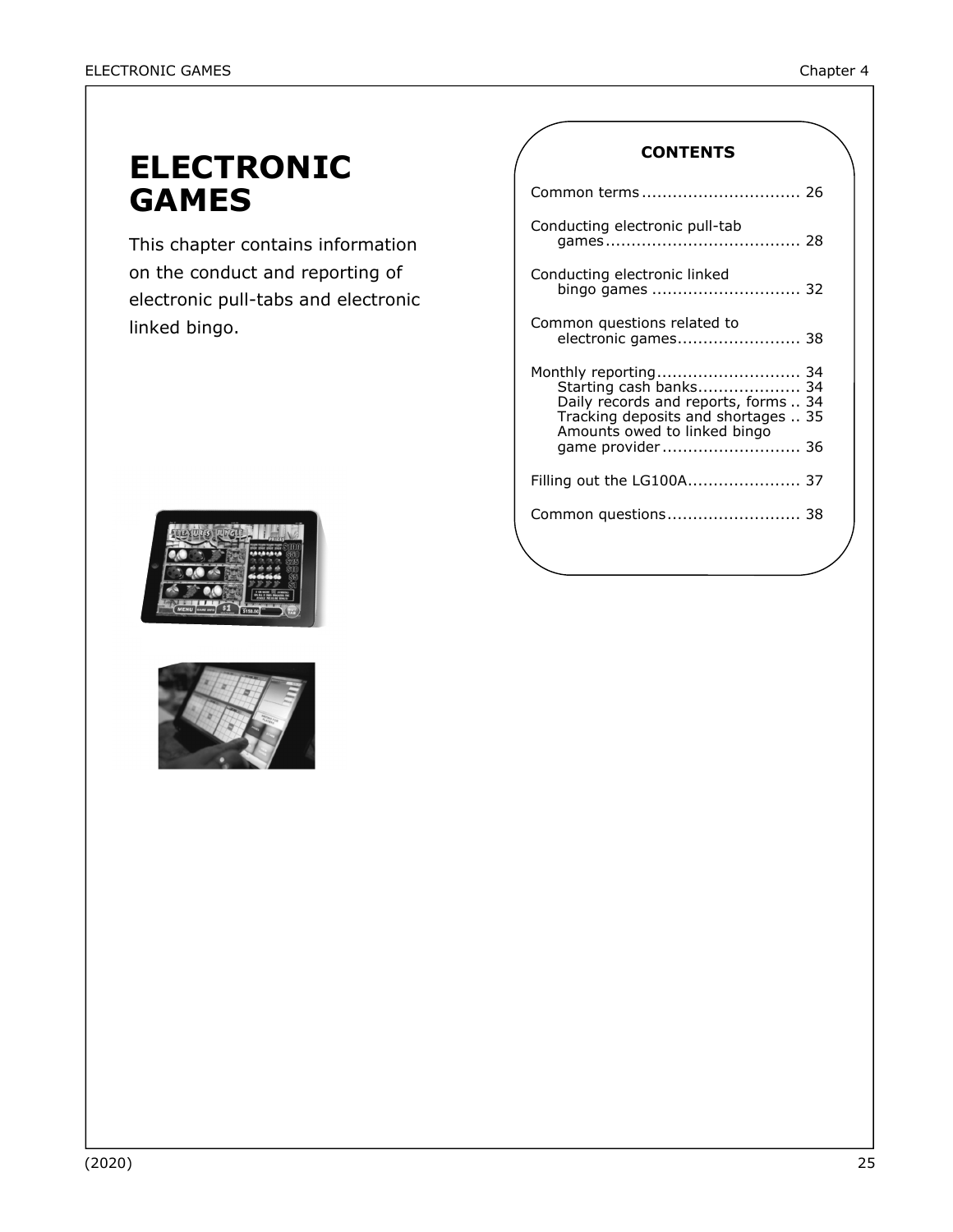# **ELECTRONIC GAMES**

This chapter contains information on the conduct and reporting of electronic pull-tabs and electronic linked bingo.





### **CONTENTS**

| Conducting electronic pull-tab                                                                                                                                                      |
|-------------------------------------------------------------------------------------------------------------------------------------------------------------------------------------|
| Conducting electronic linked<br>bingo games  32                                                                                                                                     |
| Common questions related to<br>electronic games 38                                                                                                                                  |
| Monthly reporting 34<br>Starting cash banks 34<br>Daily records and reports, forms<br>34<br>Tracking deposits and shortages  35<br>Amounts owed to linked bingo<br>game provider 36 |
| Filling out the LG100A 37                                                                                                                                                           |
| Common questions 38                                                                                                                                                                 |
|                                                                                                                                                                                     |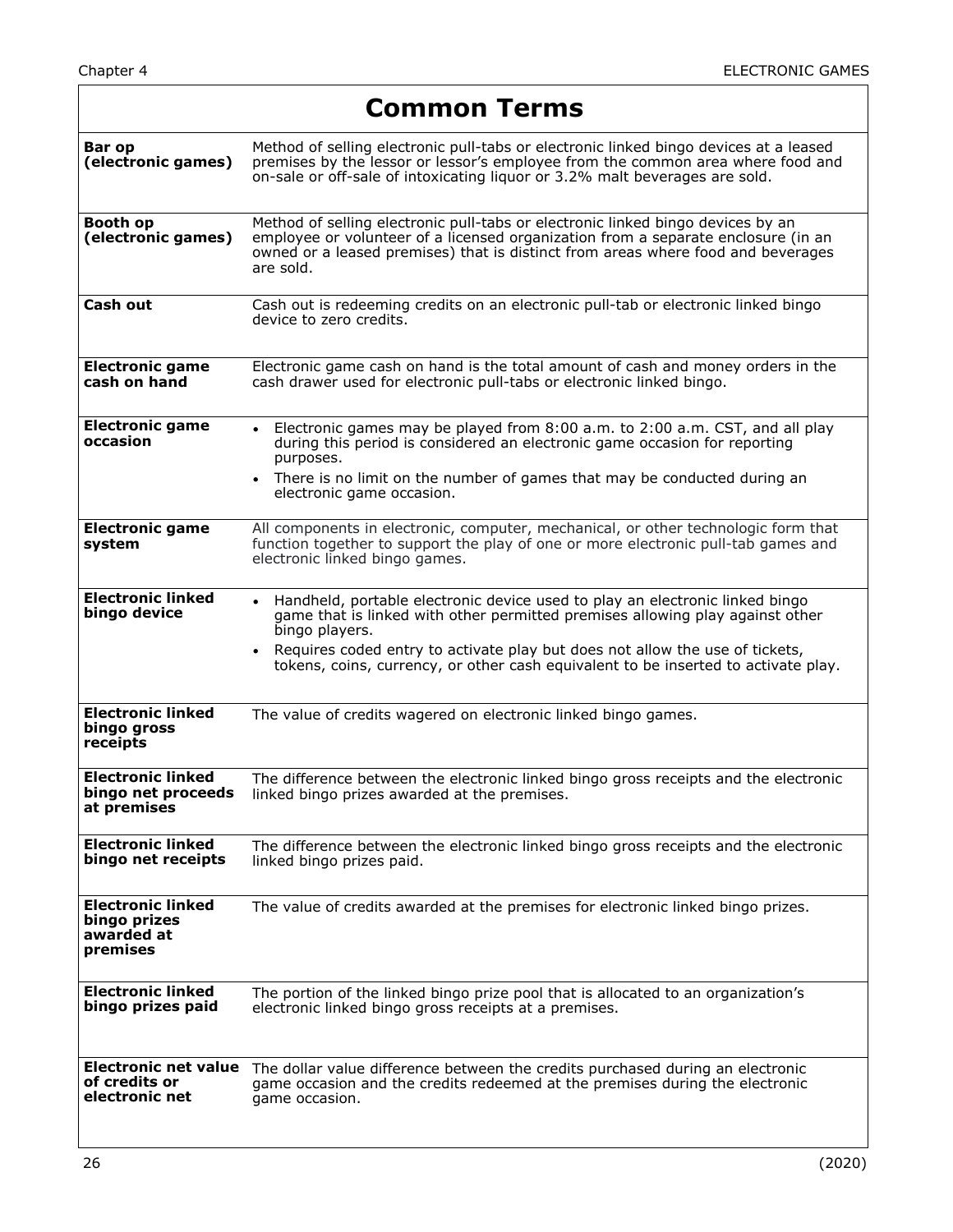$\Gamma$ 

٦

|                                                                    | <b>Common Terms</b>                                                                                                                                                                                                                                                                                                                                     |  |  |
|--------------------------------------------------------------------|---------------------------------------------------------------------------------------------------------------------------------------------------------------------------------------------------------------------------------------------------------------------------------------------------------------------------------------------------------|--|--|
| Bar op<br>(electronic games)                                       | Method of selling electronic pull-tabs or electronic linked bingo devices at a leased<br>premises by the lessor or lessor's employee from the common area where food and<br>on-sale or off-sale of intoxicating liquor or 3.2% malt beverages are sold.                                                                                                 |  |  |
| <b>Booth op</b><br>(electronic games)                              | Method of selling electronic pull-tabs or electronic linked bingo devices by an<br>employee or volunteer of a licensed organization from a separate enclosure (in an<br>owned or a leased premises) that is distinct from areas where food and beverages<br>are sold.                                                                                   |  |  |
| Cash out                                                           | Cash out is redeeming credits on an electronic pull-tab or electronic linked bingo<br>device to zero credits.                                                                                                                                                                                                                                           |  |  |
| <b>Electronic game</b><br>cash on hand                             | Electronic game cash on hand is the total amount of cash and money orders in the<br>cash drawer used for electronic pull-tabs or electronic linked bingo.                                                                                                                                                                                               |  |  |
| <b>Electronic game</b><br>occasion                                 | Electronic games may be played from 8:00 a.m. to 2:00 a.m. CST, and all play<br>$\bullet$<br>during this period is considered an electronic game occasion for reporting<br>purposes.<br>There is no limit on the number of games that may be conducted during an<br>electronic game occasion.                                                           |  |  |
| <b>Electronic game</b><br>system                                   | All components in electronic, computer, mechanical, or other technologic form that<br>function together to support the play of one or more electronic pull-tab games and<br>electronic linked bingo games.                                                                                                                                              |  |  |
| <b>Electronic linked</b><br>bingo device                           | • Handheld, portable electronic device used to play an electronic linked bingo<br>game that is linked with other permitted premises allowing play against other<br>bingo players.<br>Requires coded entry to activate play but does not allow the use of tickets,<br>tokens, coins, currency, or other cash equivalent to be inserted to activate play. |  |  |
| <b>Electronic linked</b><br>bingo gross<br>receipts                | The value of credits wagered on electronic linked bingo games.                                                                                                                                                                                                                                                                                          |  |  |
| <b>Electronic linked</b><br>bingo net proceeds<br>at premises      | The difference between the electronic linked bingo gross receipts and the electronic<br>linked bingo prizes awarded at the premises.                                                                                                                                                                                                                    |  |  |
| <b>Electronic linked</b><br>bingo net receipts                     | The difference between the electronic linked bingo gross receipts and the electronic<br>linked bingo prizes paid.                                                                                                                                                                                                                                       |  |  |
| <b>Electronic linked</b><br>bingo prizes<br>awarded at<br>premises | The value of credits awarded at the premises for electronic linked bingo prizes.                                                                                                                                                                                                                                                                        |  |  |
| <b>Electronic linked</b><br>bingo prizes paid                      | The portion of the linked bingo prize pool that is allocated to an organization's<br>electronic linked bingo gross receipts at a premises.                                                                                                                                                                                                              |  |  |
| <b>Electronic net value</b><br>of credits or<br>electronic net     | The dollar value difference between the credits purchased during an electronic<br>game occasion and the credits redeemed at the premises during the electronic<br>game occasion.                                                                                                                                                                        |  |  |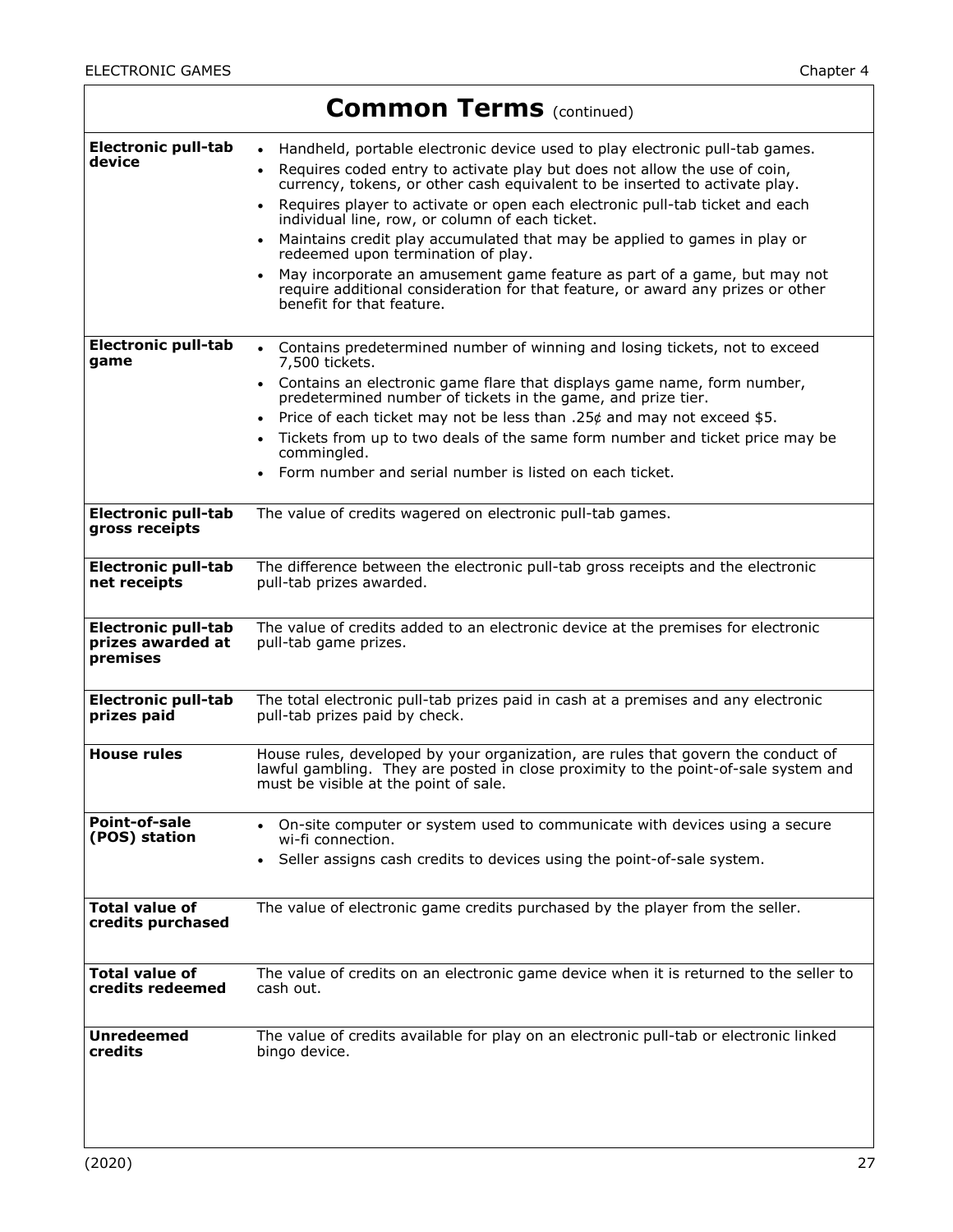|                                                             | <b>Common Terms</b> (continued)                                                                                                                                                                                                                                                                                                                                                                                                                                                                                                                                                                                                                                                                                                                |
|-------------------------------------------------------------|------------------------------------------------------------------------------------------------------------------------------------------------------------------------------------------------------------------------------------------------------------------------------------------------------------------------------------------------------------------------------------------------------------------------------------------------------------------------------------------------------------------------------------------------------------------------------------------------------------------------------------------------------------------------------------------------------------------------------------------------|
| <b>Electronic pull-tab</b><br>device                        | Handheld, portable electronic device used to play electronic pull-tab games.<br>$\bullet$<br>Requires coded entry to activate play but does not allow the use of coin,<br>$\bullet$<br>currency, tokens, or other cash equivalent to be inserted to activate play.<br>Requires player to activate or open each electronic pull-tab ticket and each<br>individual line, row, or column of each ticket.<br>Maintains credit play accumulated that may be applied to games in play or<br>$\bullet$<br>redeemed upon termination of play.<br>May incorporate an amusement game feature as part of a game, but may not<br>$\bullet$<br>require additional consideration for that feature, or award any prizes or other<br>benefit for that feature. |
| <b>Electronic pull-tab</b><br>game                          | Contains predetermined number of winning and losing tickets, not to exceed<br>$\bullet$<br>7,500 tickets.<br>Contains an electronic game flare that displays game name, form number,<br>predetermined number of tickets in the game, and prize tier.<br>Price of each ticket may not be less than .25 $\phi$ and may not exceed \$5.<br>Tickets from up to two deals of the same form number and ticket price may be<br>commingled.<br>Form number and serial number is listed on each ticket.                                                                                                                                                                                                                                                 |
| <b>Electronic pull-tab</b><br>gross receipts                | The value of credits wagered on electronic pull-tab games.                                                                                                                                                                                                                                                                                                                                                                                                                                                                                                                                                                                                                                                                                     |
| <b>Electronic pull-tab</b><br>net receipts                  | The difference between the electronic pull-tab gross receipts and the electronic<br>pull-tab prizes awarded.                                                                                                                                                                                                                                                                                                                                                                                                                                                                                                                                                                                                                                   |
| <b>Electronic pull-tab</b><br>prizes awarded at<br>premises | The value of credits added to an electronic device at the premises for electronic<br>pull-tab game prizes.                                                                                                                                                                                                                                                                                                                                                                                                                                                                                                                                                                                                                                     |
| <b>Electronic pull-tab</b><br>prizes paid                   | The total electronic pull-tab prizes paid in cash at a premises and any electronic<br>pull-tab prizes paid by check.                                                                                                                                                                                                                                                                                                                                                                                                                                                                                                                                                                                                                           |
| <b>House rules</b>                                          | House rules, developed by your organization, are rules that govern the conduct of<br>lawful gambling. They are posted in close proximity to the point-of-sale system and<br>must be visible at the point of sale.                                                                                                                                                                                                                                                                                                                                                                                                                                                                                                                              |
| Point-of-sale<br>(POS) station                              | On-site computer or system used to communicate with devices using a secure<br>wi-fi connection.<br>Seller assigns cash credits to devices using the point-of-sale system.                                                                                                                                                                                                                                                                                                                                                                                                                                                                                                                                                                      |
| <b>Total value of</b><br>credits purchased                  | The value of electronic game credits purchased by the player from the seller.                                                                                                                                                                                                                                                                                                                                                                                                                                                                                                                                                                                                                                                                  |
| <b>Total value of</b><br>credits redeemed                   | The value of credits on an electronic game device when it is returned to the seller to<br>cash out.                                                                                                                                                                                                                                                                                                                                                                                                                                                                                                                                                                                                                                            |
| <b>Unredeemed</b><br>credits                                | The value of credits available for play on an electronic pull-tab or electronic linked<br>bingo device.                                                                                                                                                                                                                                                                                                                                                                                                                                                                                                                                                                                                                                        |

L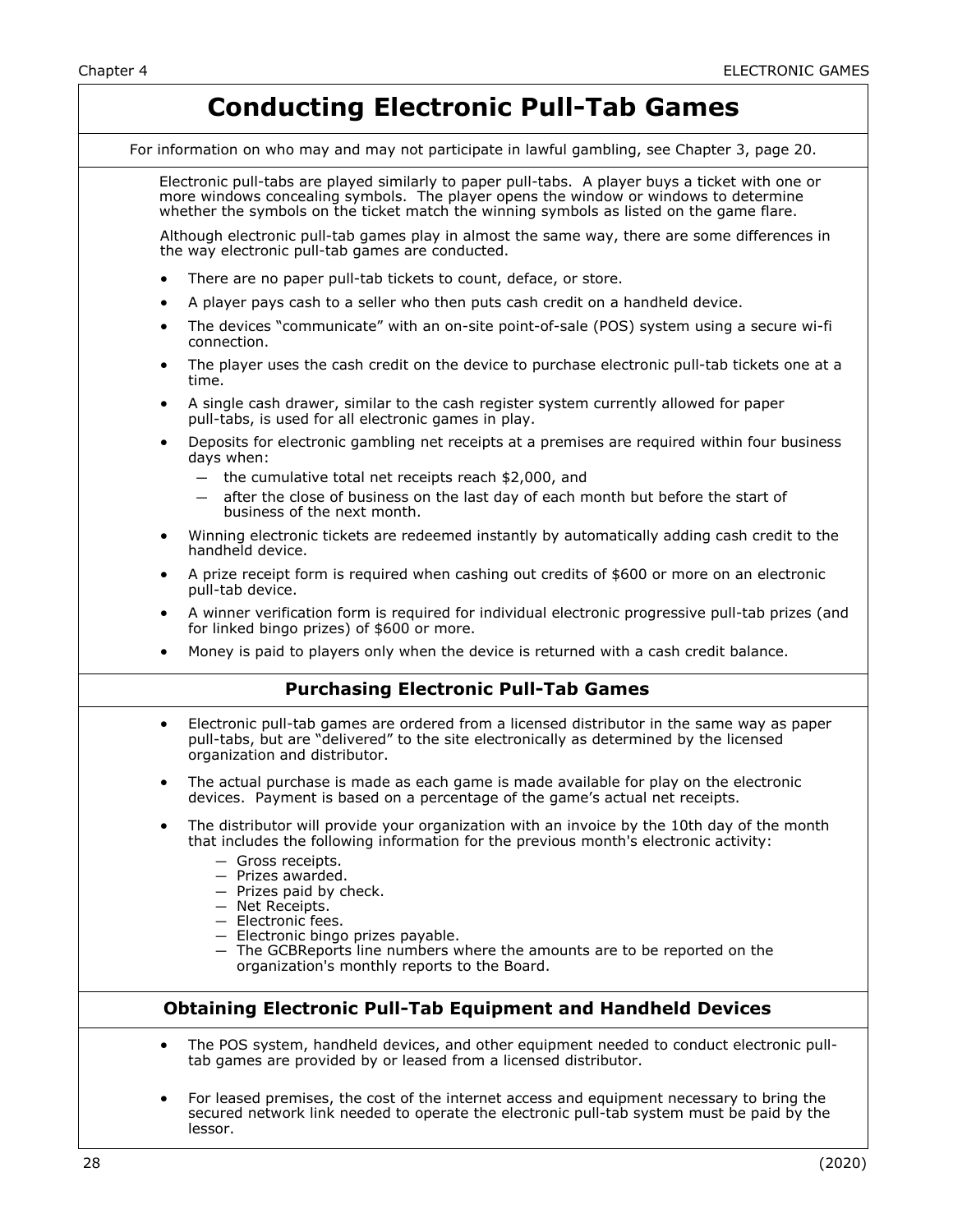## **Conducting Electronic Pull-Tab Games**

For information on who may and may not participate in lawful gambling, see Chapter 3, page 20.

Electronic pull-tabs are played similarly to paper pull-tabs. A player buys a ticket with one or more windows concealing symbols. The player opens the window or windows to determine whether the symbols on the ticket match the winning symbols as listed on the game flare.

Although electronic pull-tab games play in almost the same way, there are some differences in the way electronic pull-tab games are conducted.

- There are no paper pull-tab tickets to count, deface, or store.
- A player pays cash to a seller who then puts cash credit on a handheld device.
- The devices "communicate" with an on-site point-of-sale (POS) system using a secure wi-fi connection.
- The player uses the cash credit on the device to purchase electronic pull-tab tickets one at a time.
- A single cash drawer, similar to the cash register system currently allowed for paper pull-tabs, is used for all electronic games in play.
- Deposits for electronic gambling net receipts at a premises are required within four business days when:
	- the cumulative total net receipts reach \$2,000, and
	- after the close of business on the last day of each month but before the start of business of the next month.
- Winning electronic tickets are redeemed instantly by automatically adding cash credit to the handheld device.
- A prize receipt form is required when cashing out credits of \$600 or more on an electronic pull-tab device.
- A winner verification form is required for individual electronic progressive pull-tab prizes (and for linked bingo prizes) of \$600 or more.
- Money is paid to players only when the device is returned with a cash credit balance.

#### **Purchasing Electronic Pull-Tab Games**

- Electronic pull-tab games are ordered from a licensed distributor in the same way as paper pull-tabs, but are "delivered" to the site electronically as determined by the licensed organization and distributor.
- The actual purchase is made as each game is made available for play on the electronic devices. Payment is based on a percentage of the game's actual net receipts.
- The distributor will provide your organization with an invoice by the 10th day of the month that includes the following information for the previous month's electronic activity:
	- Gross receipts.
	- Prizes awarded.
	- Prizes paid by check.
	- Net Receipts.
	- Electronic fees.
	- Electronic bingo prizes payable.
	- The GCBReports line numbers where the amounts are to be reported on the organization's monthly reports to the Board.

#### **Obtaining Electronic Pull-Tab Equipment and Handheld Devices**

- The POS system, handheld devices, and other equipment needed to conduct electronic pulltab games are provided by or leased from a licensed distributor.
- For leased premises, the cost of the internet access and equipment necessary to bring the secured network link needed to operate the electronic pull-tab system must be paid by the lessor.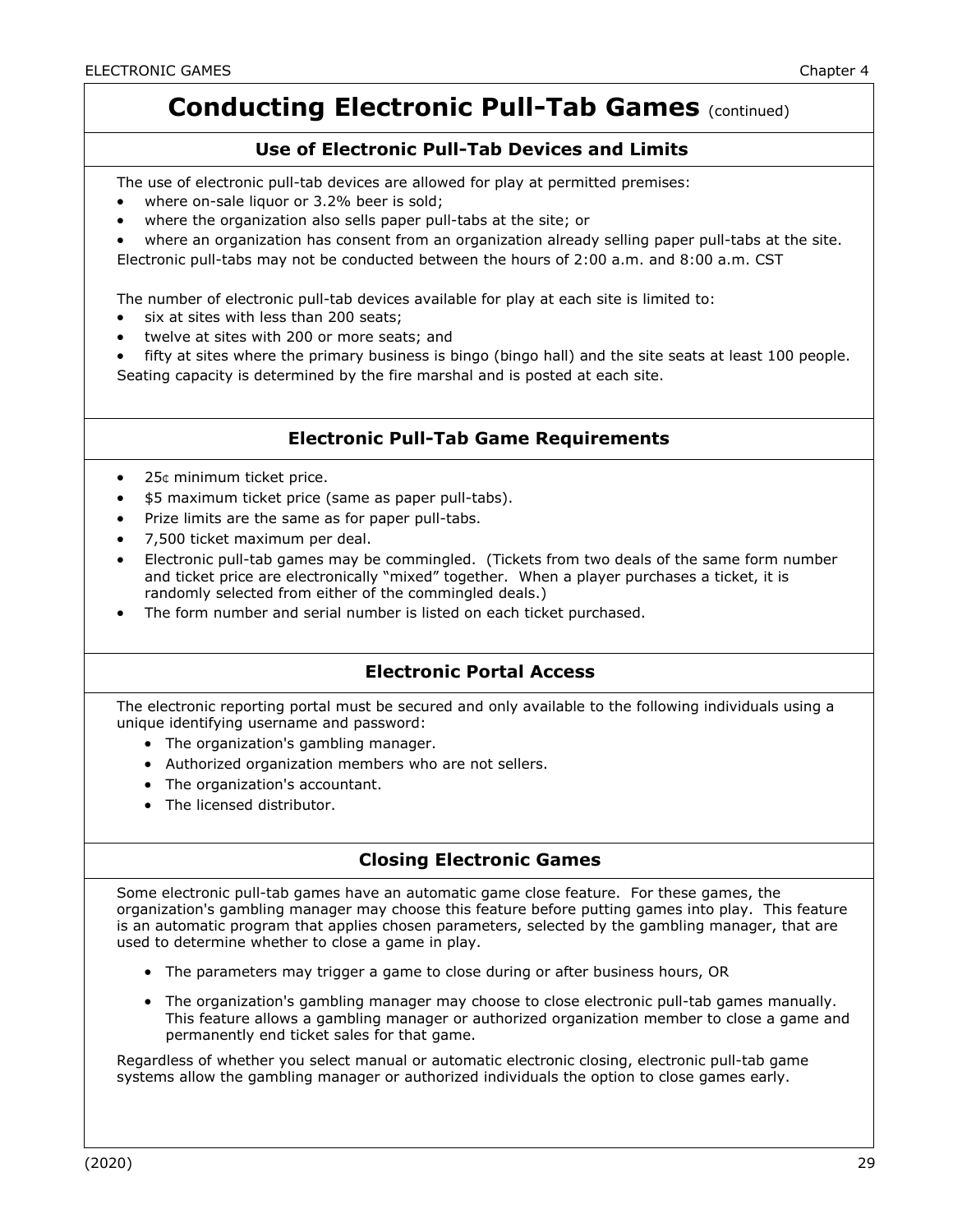## **Conducting Electronic Pull-Tab Games (continued)**

#### **Use of Electronic Pull-Tab Devices and Limits**

The use of electronic pull-tab devices are allowed for play at permitted premises:

- where on-sale liquor or 3.2% beer is sold;
- where the organization also sells paper pull-tabs at the site; or
- where an organization has consent from an organization already selling paper pull-tabs at the site.

Electronic pull-tabs may not be conducted between the hours of 2:00 a.m. and 8:00 a.m. CST

The number of electronic pull-tab devices available for play at each site is limited to:

- six at sites with less than 200 seats;
- twelve at sites with 200 or more seats; and
- fifty at sites where the primary business is bingo (bingo hall) and the site seats at least 100 people. Seating capacity is determined by the fire marshal and is posted at each site.

#### **Electronic Pull-Tab Game Requirements**

- 25¢ minimum ticket price.
- \$5 maximum ticket price (same as paper pull-tabs).
- Prize limits are the same as for paper pull-tabs.
- 7,500 ticket maximum per deal.
- Electronic pull-tab games may be commingled. (Tickets from two deals of the same form number and ticket price are electronically "mixed" together. When a player purchases a ticket, it is randomly selected from either of the commingled deals.)
- The form number and serial number is listed on each ticket purchased.

### **Electronic Portal Access**

The electronic reporting portal must be secured and only available to the following individuals using a unique identifying username and password:

- The organization's gambling manager.
- Authorized organization members who are not sellers.
- The organization's accountant.
- The licensed distributor.

### **Closing Electronic Games**

Some electronic pull-tab games have an automatic game close feature. For these games, the organization's gambling manager may choose this feature before putting games into play. This feature is an automatic program that applies chosen parameters, selected by the gambling manager, that are used to determine whether to close a game in play.

- The parameters may trigger a game to close during or after business hours, OR
- The organization's gambling manager may choose to close electronic pull-tab games manually. This feature allows a gambling manager or authorized organization member to close a game and permanently end ticket sales for that game.

Regardless of whether you select manual or automatic electronic closing, electronic pull-tab game systems allow the gambling manager or authorized individuals the option to close games early.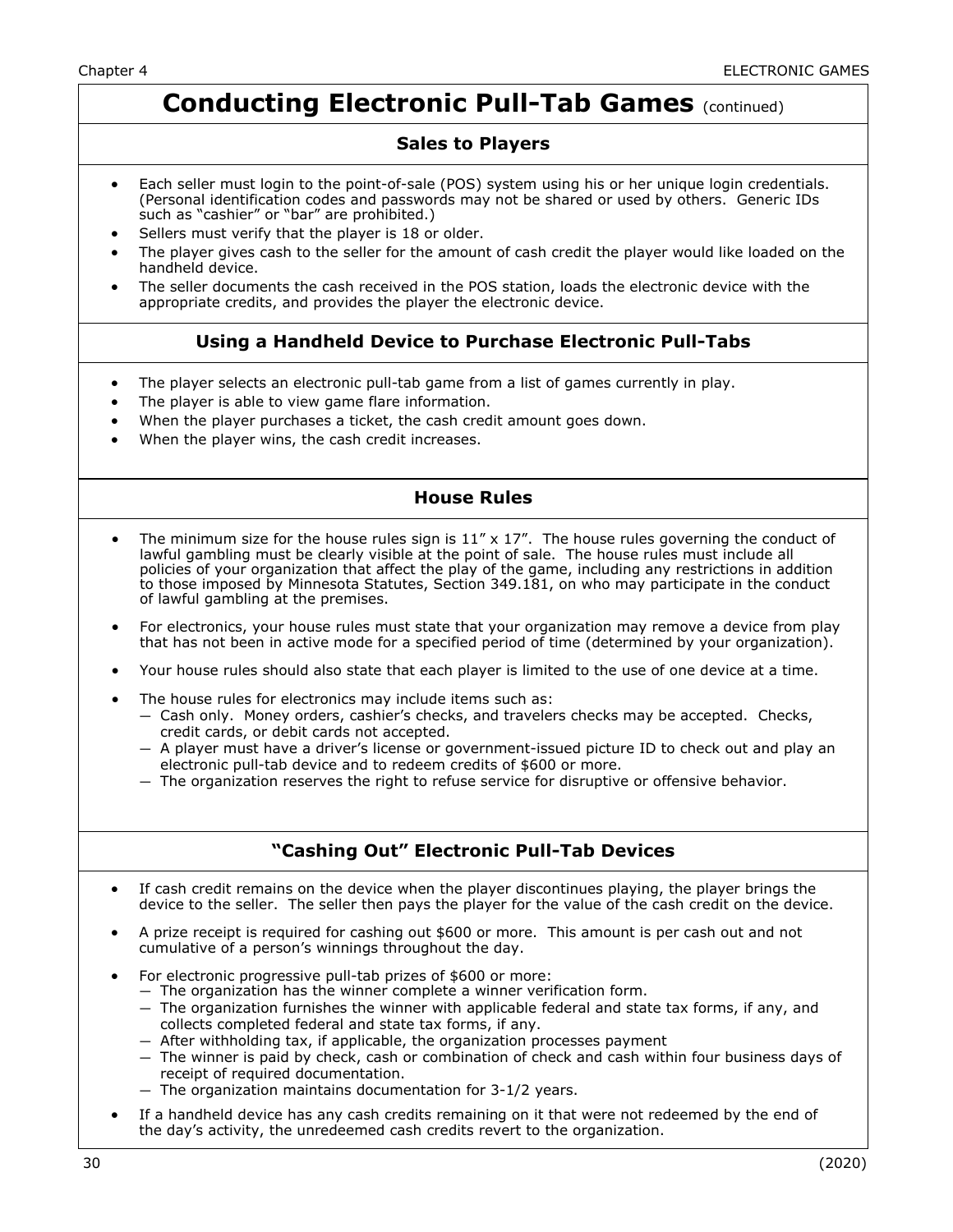## **Conducting Electronic Pull-Tab Games** (continued)

#### **Sales to Players**

- Each seller must login to the point-of-sale (POS) system using his or her unique login credentials. (Personal identification codes and passwords may not be shared or used by others. Generic IDs such as "cashier" or "bar" are prohibited.)
- Sellers must verify that the player is 18 or older.
- The player gives cash to the seller for the amount of cash credit the player would like loaded on the handheld device.
- The seller documents the cash received in the POS station, loads the electronic device with the appropriate credits, and provides the player the electronic device.

#### **Using a Handheld Device to Purchase Electronic Pull-Tabs**

- The player selects an electronic pull-tab game from a list of games currently in play.
- The player is able to view game flare information.
- When the player purchases a ticket, the cash credit amount goes down.
- When the player wins, the cash credit increases.

#### **House Rules**

- The minimum size for the house rules sign is  $11'' \times 17''$ . The house rules governing the conduct of lawful gambling must be clearly visible at the point of sale. The house rules must include all policies of your organization that affect the play of the game, including any restrictions in addition to those imposed by Minnesota Statutes, Section 349.181, on who may participate in the conduct of lawful gambling at the premises.
- For electronics, your house rules must state that your organization may remove a device from play that has not been in active mode for a specified period of time (determined by your organization).
- Your house rules should also state that each player is limited to the use of one device at a time.
- The house rules for electronics may include items such as:
	- Cash only. Money orders, cashier's checks, and travelers checks may be accepted. Checks, credit cards, or debit cards not accepted.
	- A player must have a driver's license or government-issued picture ID to check out and play an electronic pull-tab device and to redeem credits of \$600 or more.
	- The organization reserves the right to refuse service for disruptive or offensive behavior.

### **"Cashing Out" Electronic Pull-Tab Devices**

- If cash credit remains on the device when the player discontinues playing, the player brings the device to the seller. The seller then pays the player for the value of the cash credit on the device.
- A prize receipt is required for cashing out \$600 or more. This amount is per cash out and not cumulative of a person's winnings throughout the day.
- For electronic progressive pull-tab prizes of \$600 or more:
	- The organization has the winner complete a winner verification form.
	- The organization furnishes the winner with applicable federal and state tax forms, if any, and collects completed federal and state tax forms, if any.
	- After withholding tax, if applicable, the organization processes payment
	- The winner is paid by check, cash or combination of check and cash within four business days of receipt of required documentation.
	- The organization maintains documentation for 3-1/2 years.
- If a handheld device has any cash credits remaining on it that were not redeemed by the end of the day's activity, the unredeemed cash credits revert to the organization.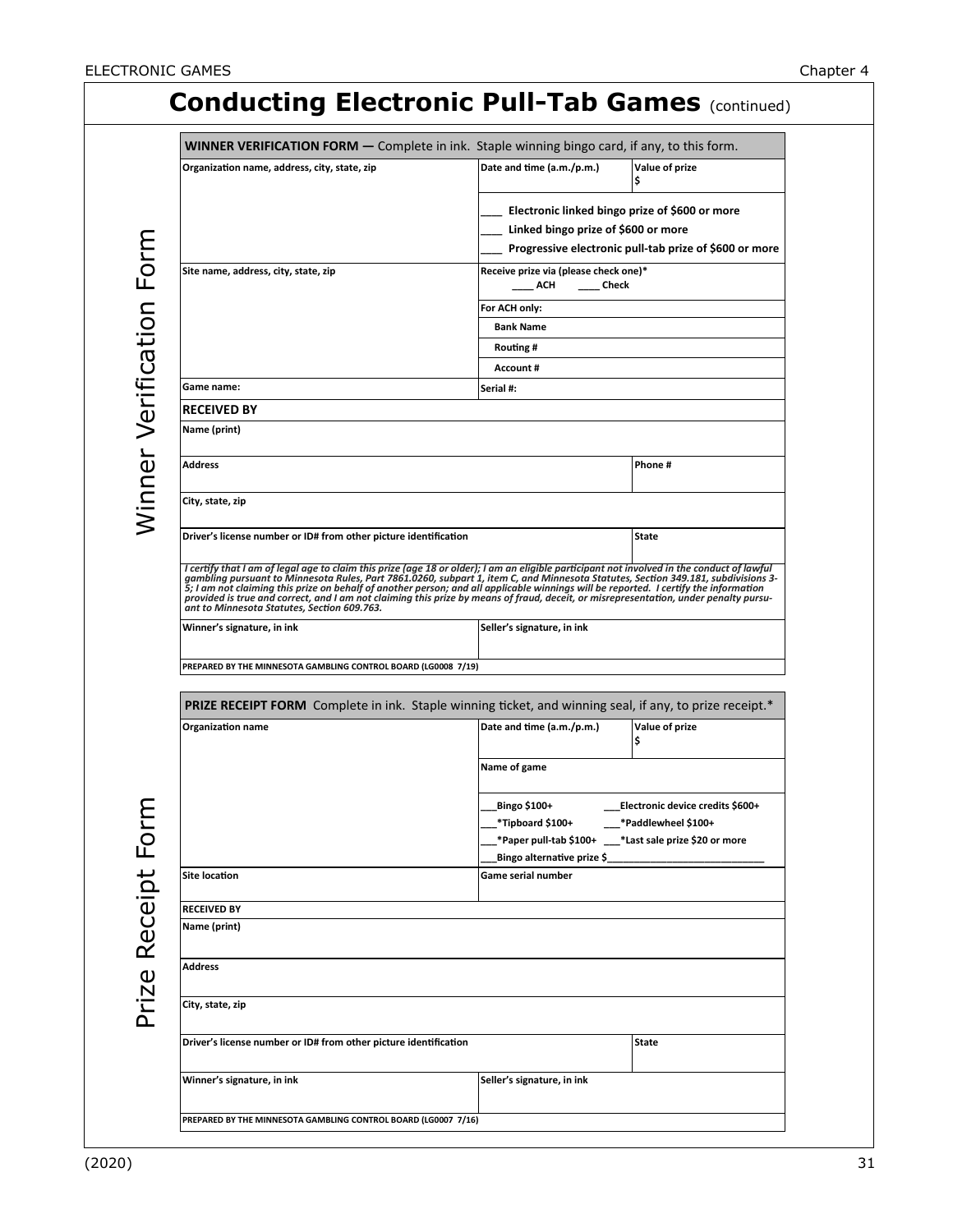|                                                                           | <b>WINNER VERIFICATION FORM</b> - Complete in ink. Staple winning bingo card, if any, to this form.                                                                |
|---------------------------------------------------------------------------|--------------------------------------------------------------------------------------------------------------------------------------------------------------------|
| Organization name, address, city, state, zip                              | Date and time (a.m./p.m.)<br>Value of prize<br>I\$                                                                                                                 |
|                                                                           | Electronic linked bingo prize of \$600 or more                                                                                                                     |
|                                                                           | Linked bingo prize of \$600 or more                                                                                                                                |
|                                                                           | Progressive electronic pull-tab prize of \$600 or more                                                                                                             |
| Site name, address, city, state, zip                                      | Receive prize via (please check one)*<br>ACH<br>Check                                                                                                              |
|                                                                           | For ACH only:                                                                                                                                                      |
|                                                                           | <b>Bank Name</b>                                                                                                                                                   |
|                                                                           | Routing #                                                                                                                                                          |
|                                                                           | Account#                                                                                                                                                           |
| Game name:                                                                | Serial #:                                                                                                                                                          |
| <b>RECEIVED BY</b>                                                        |                                                                                                                                                                    |
| Name (print)                                                              |                                                                                                                                                                    |
| <b>Address</b>                                                            | Phone#                                                                                                                                                             |
| City, state, zip                                                          |                                                                                                                                                                    |
| Driver's license number or ID# from other picture identification          | State                                                                                                                                                              |
|                                                                           | 5; I am not claiming this prize on behalf of another person; and all applicable winnings will be reported. I certify the information                               |
| ant to Minnesota Statutes, Section 609.763.<br>Winner's signature, in ink | provided is true and correct, and I am not claiming this prize by means of fraud, deceit, or misrepresentation, under penalty pursu-<br>Seller's signature, in ink |
| PREPARED BY THE MINNESOTA GAMBLING CONTROL BOARD (LG0008 7/19)            |                                                                                                                                                                    |
|                                                                           |                                                                                                                                                                    |
| <b>Organization name</b>                                                  | PRIZE RECEIPT FORM Complete in ink. Staple winning ticket, and winning seal, if any, to prize receipt.*<br>Date and time (a.m./p.m.)<br>Value of prize             |
|                                                                           | ¦\$                                                                                                                                                                |
|                                                                           | Name of game                                                                                                                                                       |
|                                                                           | _Bingo \$100+<br>Electronic device credits \$600+_                                                                                                                 |
|                                                                           | *Tipboard \$100+<br>*Paddlewheel \$100+                                                                                                                            |
|                                                                           | *Paper pull-tab \$100+ _ *Last sale prize \$20 or more                                                                                                             |
| <b>Site location</b>                                                      | Bingo alternative prize \$_<br>Game serial number                                                                                                                  |
|                                                                           |                                                                                                                                                                    |
| <b>RECEIVED BY</b>                                                        |                                                                                                                                                                    |
| Name (print)                                                              |                                                                                                                                                                    |
| Address                                                                   |                                                                                                                                                                    |
| City, state, zip                                                          |                                                                                                                                                                    |
| Driver's license number or ID# from other picture identification          | <b>State</b>                                                                                                                                                       |
| Winner's signature, in ink                                                | Seller's signature, in ink                                                                                                                                         |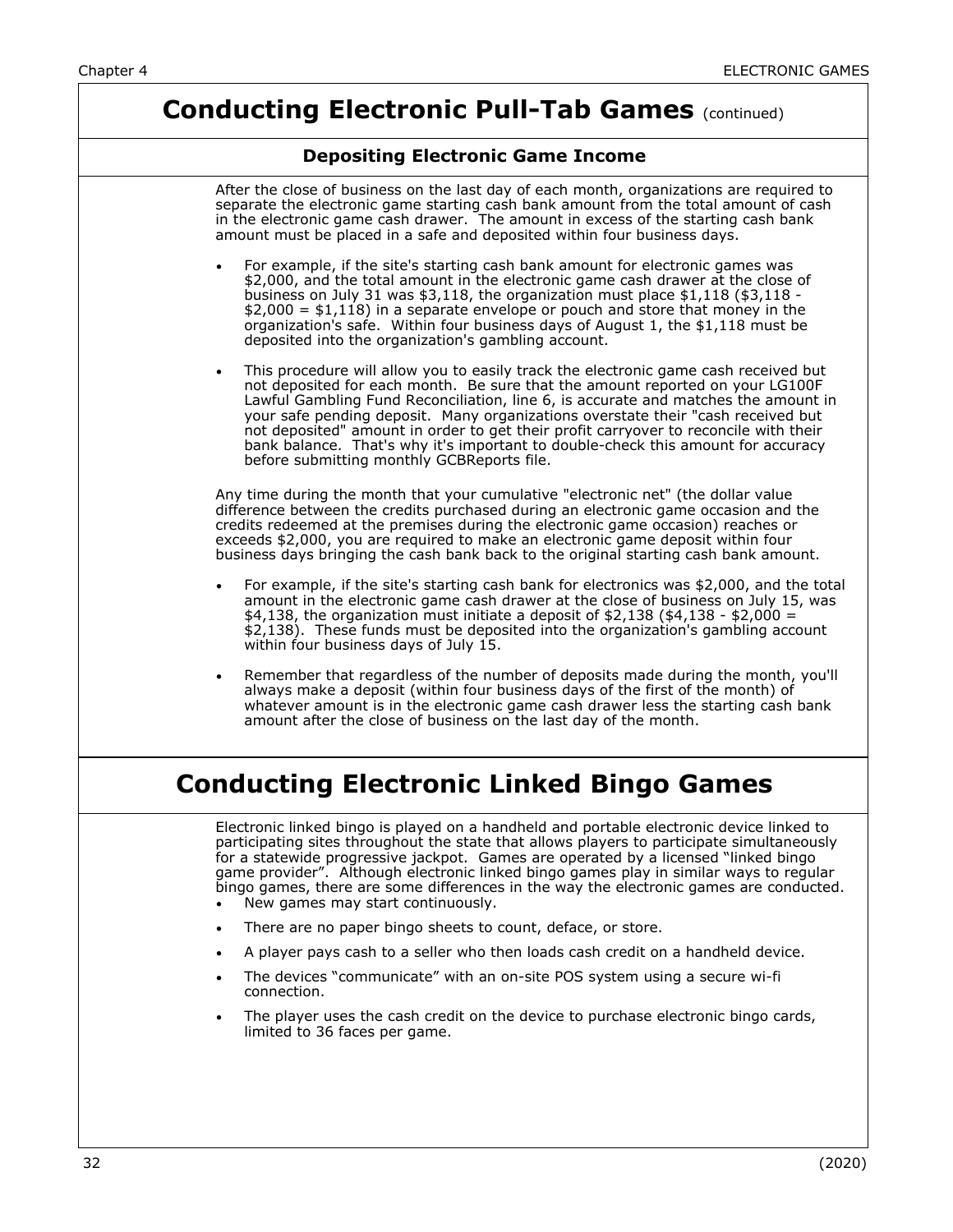## **Conducting Electronic Pull-Tab Games (continued)**

#### **Depositing Electronic Game Income**

|           | After the close of business on the last day of each month, organizations are required to<br>separate the electronic game starting cash bank amount from the total amount of cash<br>in the electronic game cash drawer. The amount in excess of the starting cash bank<br>amount must be placed in a safe and deposited within four business days.                                                                                                                                                                                                                       |
|-----------|--------------------------------------------------------------------------------------------------------------------------------------------------------------------------------------------------------------------------------------------------------------------------------------------------------------------------------------------------------------------------------------------------------------------------------------------------------------------------------------------------------------------------------------------------------------------------|
| $\bullet$ | For example, if the site's starting cash bank amount for electronic games was<br>\$2,000, and the total amount in the electronic game cash drawer at the close of<br>business on July 31 was $$3,118$ , the organization must place $$1,118$ ( $$3,118$ -<br>$$2,000 = $1,118$ in a separate envelope or pouch and store that money in the<br>organization's safe. Within four business days of August 1, the \$1,118 must be<br>deposited into the organization's gambling account.                                                                                     |
| $\bullet$ | This procedure will allow you to easily track the electronic game cash received but<br>not deposited for each month. Be sure that the amount reported on your LG100F<br>Lawful Gambling Fund Reconciliation, line 6, is accurate and matches the amount in<br>your safe pending deposit. Many organizations overstate their "cash received but<br>not deposited" amount in order to get their profit carryover to reconcile with their<br>bank balance. That's why it's important to double-check this amount for accuracy<br>before submitting monthly GCBReports file. |
|           | Any time during the month that your cumulative "electronic net" (the dollar value<br>difference between the credits purchased during an electronic game occasion and the<br>credits redeemed at the premises during the electronic game occasion) reaches or<br>exceeds \$2,000, you are required to make an electronic game deposit within four<br>business days bringing the cash bank back to the original starting cash bank amount.                                                                                                                                 |
| $\bullet$ | For example, if the site's starting cash bank for electronics was \$2,000, and the total<br>amount in the electronic game cash drawer at the close of business on July 15, was<br>\$4,138, the organization must initiate a deposit of \$2,138 (\$4,138 - \$2,000 =<br>\$2,138). These funds must be deposited into the organization's gambling account<br>within four business days of July 15.                                                                                                                                                                         |
| $\bullet$ | Remember that regardless of the number of deposits made during the month, you'll<br>always make a deposit (within four business days of the first of the month) of<br>whatever amount is in the electronic game cash drawer less the starting cash bank<br>amount after the close of business on the last day of the month.                                                                                                                                                                                                                                              |
|           | <b>Conducting Electronic Linked Bingo Games</b>                                                                                                                                                                                                                                                                                                                                                                                                                                                                                                                          |

Electronic linked bingo is played on a handheld and portable electronic device linked to participating sites throughout the state that allows players to participate simultaneously for a statewide progressive jackpot. Games are operated by a licensed "linked bingo game provider". Although electronic linked bingo games play in similar ways to regular bingo games, there are some differences in the way the electronic games are conducted. New games may start continuously.

- There are no paper bingo sheets to count, deface, or store.
- A player pays cash to a seller who then loads cash credit on a handheld device.
- The devices "communicate" with an on-site POS system using a secure wi-fi connection.
- The player uses the cash credit on the device to purchase electronic bingo cards, limited to 36 faces per game.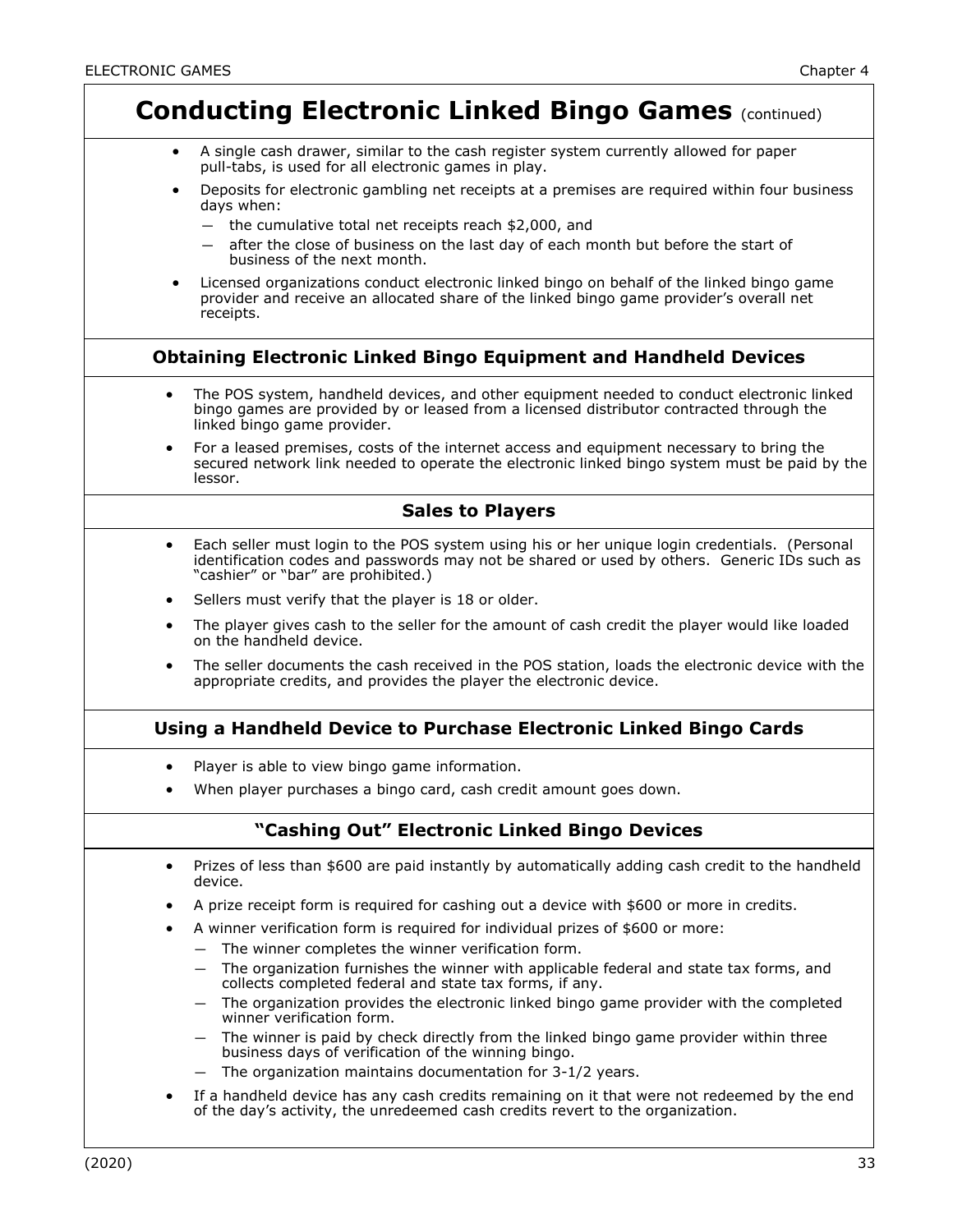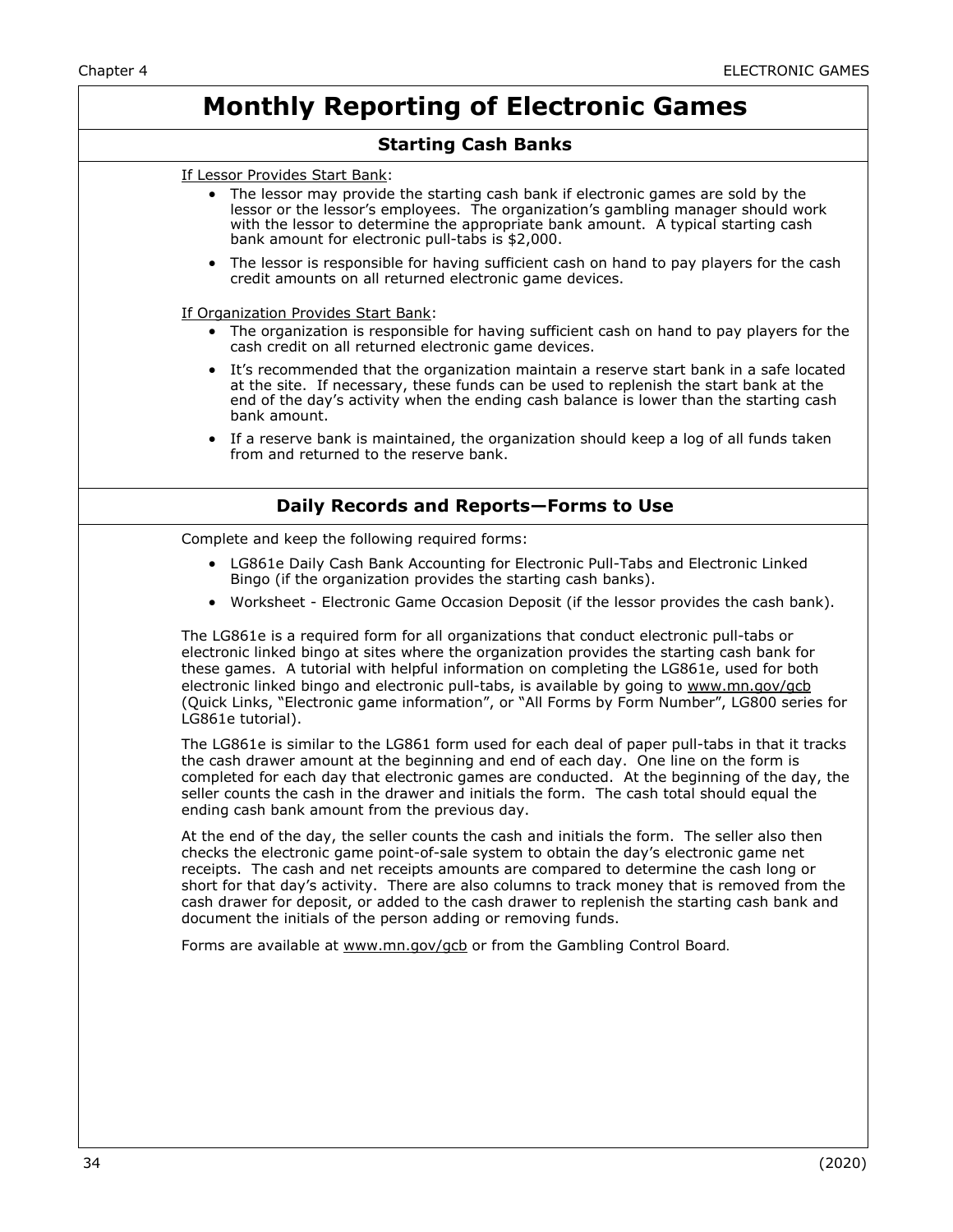# **Monthly Reporting of Electronic Games**

### **Starting Cash Banks**

| If Lessor Provides Start Bank:                                                                                                                                                                                                                                                                                                                                                                                                                                                                                                                       |  |  |
|------------------------------------------------------------------------------------------------------------------------------------------------------------------------------------------------------------------------------------------------------------------------------------------------------------------------------------------------------------------------------------------------------------------------------------------------------------------------------------------------------------------------------------------------------|--|--|
| The lessor may provide the starting cash bank if electronic games are sold by the<br>lessor or the lessor's employees. The organization's gambling manager should work<br>with the lessor to determine the appropriate bank amount. A typical starting cash<br>bank amount for electronic pull-tabs is \$2,000.                                                                                                                                                                                                                                      |  |  |
| • The lessor is responsible for having sufficient cash on hand to pay players for the cash<br>credit amounts on all returned electronic game devices.                                                                                                                                                                                                                                                                                                                                                                                                |  |  |
| If Organization Provides Start Bank:                                                                                                                                                                                                                                                                                                                                                                                                                                                                                                                 |  |  |
| The organization is responsible for having sufficient cash on hand to pay players for the<br>cash credit on all returned electronic game devices.                                                                                                                                                                                                                                                                                                                                                                                                    |  |  |
| It's recommended that the organization maintain a reserve start bank in a safe located<br>at the site. If necessary, these funds can be used to replenish the start bank at the<br>end of the day's activity when the ending cash balance is lower than the starting cash<br>bank amount.                                                                                                                                                                                                                                                            |  |  |
| • If a reserve bank is maintained, the organization should keep a log of all funds taken<br>from and returned to the reserve bank.                                                                                                                                                                                                                                                                                                                                                                                                                   |  |  |
| Daily Records and Reports-Forms to Use                                                                                                                                                                                                                                                                                                                                                                                                                                                                                                               |  |  |
| Complete and keep the following required forms:                                                                                                                                                                                                                                                                                                                                                                                                                                                                                                      |  |  |
| • LG861e Daily Cash Bank Accounting for Electronic Pull-Tabs and Electronic Linked<br>Bingo (if the organization provides the starting cash banks).                                                                                                                                                                                                                                                                                                                                                                                                  |  |  |
| • Worksheet - Electronic Game Occasion Deposit (if the lessor provides the cash bank).                                                                                                                                                                                                                                                                                                                                                                                                                                                               |  |  |
| The LG861e is a required form for all organizations that conduct electronic pull-tabs or<br>electronic linked bingo at sites where the organization provides the starting cash bank for<br>these games. A tutorial with helpful information on completing the LG861e, used for both<br>electronic linked bingo and electronic pull-tabs, is available by going to www.mn.gov/gcb<br>(Quick Links, "Electronic game information", or "All Forms by Form Number", LG800 series for<br>LG861e tutorial).                                                |  |  |
| The LG861e is similar to the LG861 form used for each deal of paper pull-tabs in that it tracks<br>the cash drawer amount at the beginning and end of each day. One line on the form is<br>completed for each day that electronic games are conducted. At the beginning of the day, the<br>seller counts the cash in the drawer and initials the form. The cash total should equal the<br>ending cash bank amount from the previous day.                                                                                                             |  |  |
| At the end of the day, the seller counts the cash and initials the form. The seller also then<br>checks the electronic game point-of-sale system to obtain the day's electronic game net<br>receipts. The cash and net receipts amounts are compared to determine the cash long or<br>short for that day's activity. There are also columns to track money that is removed from the<br>cash drawer for deposit, or added to the cash drawer to replenish the starting cash bank and<br>document the initials of the person adding or removing funds. |  |  |
|                                                                                                                                                                                                                                                                                                                                                                                                                                                                                                                                                      |  |  |
| Forms are available at www.mn.gov/gcb or from the Gambling Control Board.                                                                                                                                                                                                                                                                                                                                                                                                                                                                            |  |  |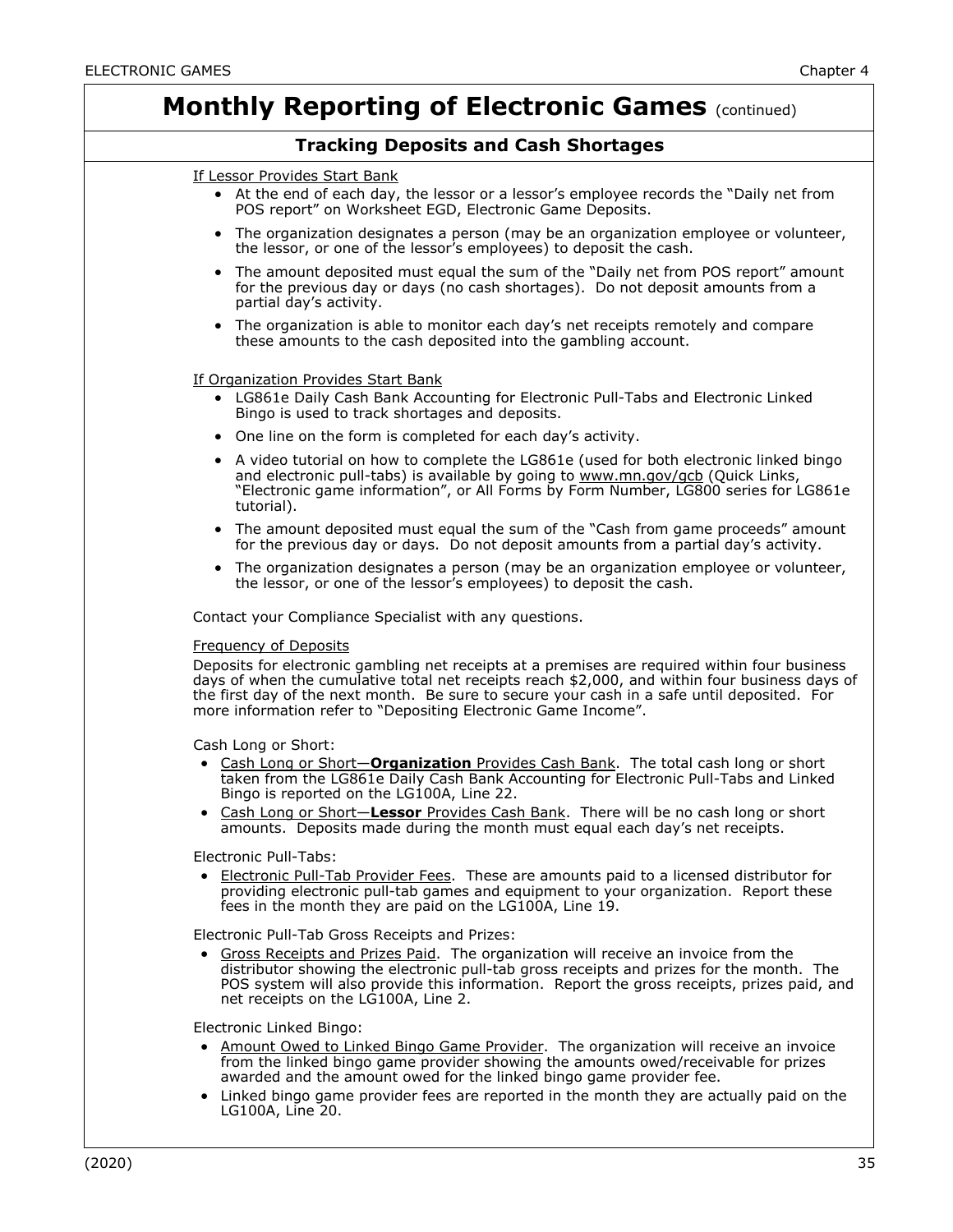| <b>Monthly Reporting of Electronic Games (continued)</b>                                                                                                                                                                                                                                                                                                                                         |  |  |
|--------------------------------------------------------------------------------------------------------------------------------------------------------------------------------------------------------------------------------------------------------------------------------------------------------------------------------------------------------------------------------------------------|--|--|
| <b>Tracking Deposits and Cash Shortages</b>                                                                                                                                                                                                                                                                                                                                                      |  |  |
| If Lessor Provides Start Bank                                                                                                                                                                                                                                                                                                                                                                    |  |  |
| • At the end of each day, the lessor or a lessor's employee records the "Daily net from<br>POS report" on Worksheet EGD, Electronic Game Deposits.                                                                                                                                                                                                                                               |  |  |
| • The organization designates a person (may be an organization employee or volunteer,<br>the lessor, or one of the lessor's employees) to deposit the cash.                                                                                                                                                                                                                                      |  |  |
| • The amount deposited must equal the sum of the "Daily net from POS report" amount<br>for the previous day or days (no cash shortages). Do not deposit amounts from a<br>partial day's activity.                                                                                                                                                                                                |  |  |
| • The organization is able to monitor each day's net receipts remotely and compare<br>these amounts to the cash deposited into the gambling account.                                                                                                                                                                                                                                             |  |  |
|                                                                                                                                                                                                                                                                                                                                                                                                  |  |  |
| If Organization Provides Start Bank<br>• LG861e Daily Cash Bank Accounting for Electronic Pull-Tabs and Electronic Linked<br>Bingo is used to track shortages and deposits.                                                                                                                                                                                                                      |  |  |
| • One line on the form is completed for each day's activity.                                                                                                                                                                                                                                                                                                                                     |  |  |
| • A video tutorial on how to complete the LG861e (used for both electronic linked bingo<br>and electronic pull-tabs) is available by going to www.mn.gov/gcb (Quick Links,<br>"Electronic game information", or All Forms by Form Number, LG800 series for LG861e<br>tutorial).                                                                                                                  |  |  |
| • The amount deposited must equal the sum of the "Cash from game proceeds" amount<br>for the previous day or days. Do not deposit amounts from a partial day's activity.                                                                                                                                                                                                                         |  |  |
| • The organization designates a person (may be an organization employee or volunteer,<br>the lessor, or one of the lessor's employees) to deposit the cash.                                                                                                                                                                                                                                      |  |  |
| Contact your Compliance Specialist with any questions.                                                                                                                                                                                                                                                                                                                                           |  |  |
| <b>Frequency of Deposits</b><br>Deposits for electronic gambling net receipts at a premises are required within four business<br>days of when the cumulative total net receipts reach \$2,000, and within four business days of<br>the first day of the next month. Be sure to secure your cash in a safe until deposited. For<br>more information refer to "Depositing Electronic Game Income". |  |  |
|                                                                                                                                                                                                                                                                                                                                                                                                  |  |  |
| Cash Long or Short:<br>• Cash Long or Short-Organization Provides Cash Bank. The total cash long or short<br>taken from the LG861e Daily Cash Bank Accounting for Electronic Pull-Tabs and Linked<br>Bingo is reported on the LG100A, Line 22.                                                                                                                                                   |  |  |
| • Cash Long or Short-Lessor Provides Cash Bank. There will be no cash long or short<br>amounts. Deposits made during the month must equal each day's net receipts.                                                                                                                                                                                                                               |  |  |
| Electronic Pull-Tabs:<br>• Electronic Pull-Tab Provider Fees. These are amounts paid to a licensed distributor for<br>providing electronic pull-tab games and equipment to your organization. Report these<br>fees in the month they are paid on the LG100A, Line 19.                                                                                                                            |  |  |
| Electronic Pull-Tab Gross Receipts and Prizes:<br>• Gross Receipts and Prizes Paid. The organization will receive an invoice from the<br>distributor showing the electronic pull-tab gross receipts and prizes for the month. The<br>POS system will also provide this information. Report the gross receipts, prizes paid, and<br>net receipts on the LG100A, Line 2.                           |  |  |
| Electronic Linked Bingo:<br>• Amount Owed to Linked Bingo Game Provider. The organization will receive an invoice<br>from the linked bingo game provider showing the amounts owed/receivable for prizes<br>awarded and the amount owed for the linked bingo game provider fee.<br>• Linked bingo game provider fees are reported in the month they are actually paid on the<br>LG100A, Line 20.  |  |  |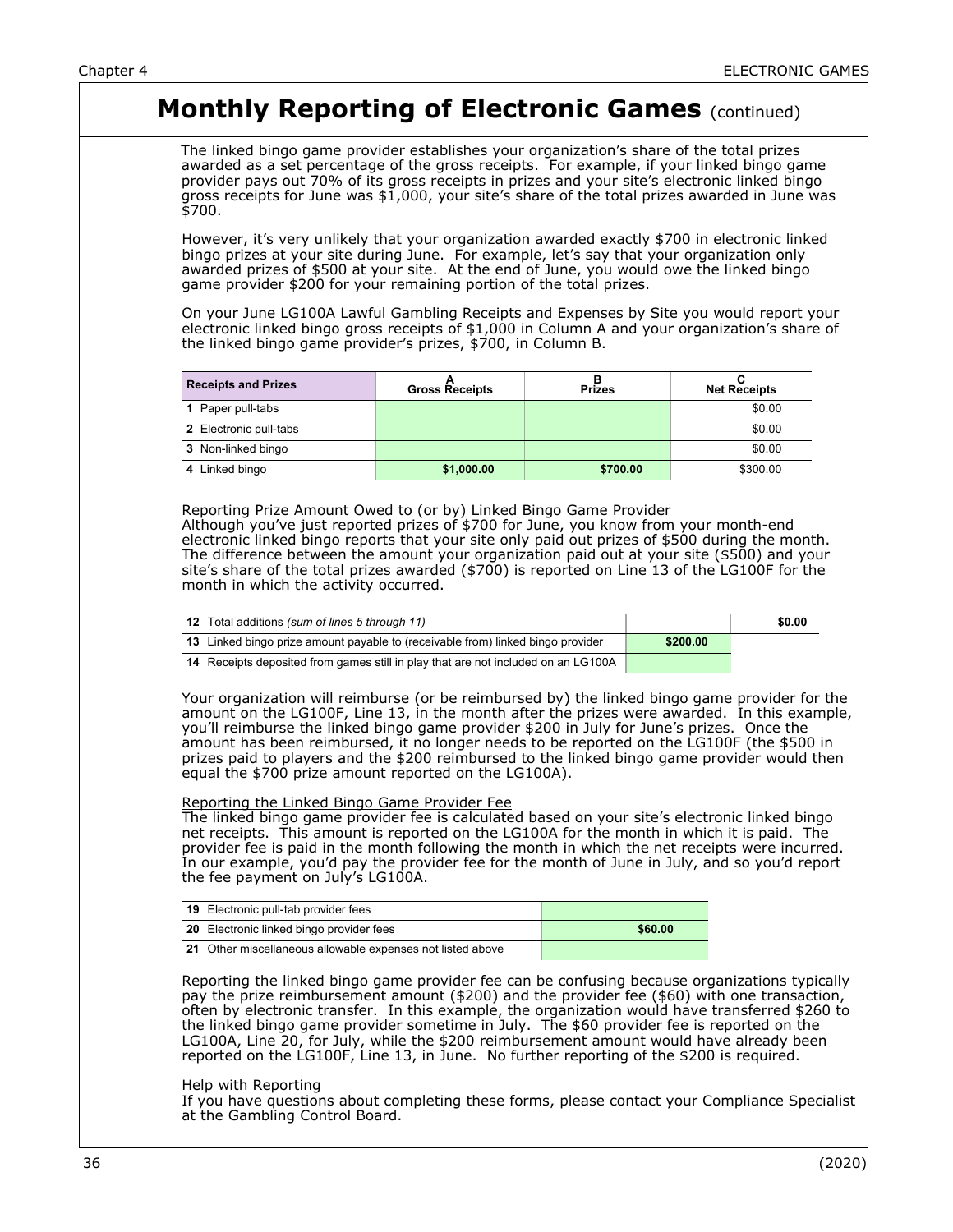## **Monthly Reporting of Electronic Games (continued)**

The linked bingo game provider establishes your organization's share of the total prizes awarded as a set percentage of the gross receipts. For example, if your linked bingo game provider pays out 70% of its gross receipts in prizes and your site's electronic linked bingo gross receipts for June was  $$1,000$ , your site's share of the total prizes awarded in June was \$700.

However, it's very unlikely that your organization awarded exactly \$700 in electronic linked bingo prizes at your site during June. For example, let's say that your organization only awarded prizes of \$500 at your site. At the end of June, you would owe the linked bingo game provider \$200 for your remaining portion of the total prizes.

On your June LG100A Lawful Gambling Receipts and Expenses by Site you would report your electronic linked bingo gross receipts of \$1,000 in Column A and your organization's share of the linked bingo game provider's prizes, \$700, in Column B.

| <b>Receipts and Prizes</b> | <b>Gross Receipts</b> | <b>Prizes</b> | <b>Net Receipts</b> |
|----------------------------|-----------------------|---------------|---------------------|
| 1 Paper pull-tabs          |                       |               | \$0.00              |
| 2 Electronic pull-tabs     |                       |               | \$0.00              |
| 3 Non-linked bingo         |                       |               | \$0.00              |
| 4 Linked bingo             | \$1,000.00            | \$700.00      | \$300.00            |

#### Reporting Prize Amount Owed to (or by) Linked Bingo Game Provider

Although you've just reported prizes of \$700 for June, you know from your month-end electronic linked bingo reports that your site only paid out prizes of \$500 during the month. The difference between the amount your organization paid out at your site (\$500) and your site's share of the total prizes awarded (\$700) is reported on Line 13 of the LG100F for the month in which the activity occurred.

| <b>12</b> Total additions (sum of lines 5 through 11)                            |          | \$0.00 |
|----------------------------------------------------------------------------------|----------|--------|
| 13 Linked bingo prize amount payable to (receivable from) linked bingo provider  | \$200.00 |        |
| A Receipts deposited from games still in play that are not included on an LG100A |          |        |

**14** Receipts deposited from games still in play that are not included on an LG100A  $\begin{array}{|c|c|c|c|c|}\hline \textbf{r} & \textbf{r} & \textbf{r} & \textbf{r} & \textbf{r} \end{array}$ 

Your organization will reimburse (or be reimbursed by) the linked bingo game provider for the amount on the LG100F, Line 13, in the month after the prizes were awarded. In this example, you'll reimburse the linked bingo game provider \$200 in July for June's prizes. Once the amount has been reimbursed, it no longer needs to be reported on the LG100F (the \$500 in prizes paid to players and the \$200 reimbursed to the linked bingo game provider would then equal the \$700 prize amount reported on the LG100A).

#### Reporting the Linked Bingo Game Provider Fee

The linked bingo game provider fee is calculated based on your site's electronic linked bingo net receipts. This amount is reported on the LG100A for the month in which it is paid. The provider fee is paid in the month following the month in which the net receipts were incurred. In our example, you'd pay the provider fee for the month of June in July, and so you'd report the fee payment on July's LG100A.

| <b>19</b> Electronic pull-tab provider fees                |         |
|------------------------------------------------------------|---------|
| <b>20</b> Electronic linked bingo provider fees            | \$60.00 |
| 21 Other miscellaneous allowable expenses not listed above |         |

**21** Other miscellaneous allowable expenses not listed above

Reporting the linked bingo game provider fee can be confusing because organizations typically pay the prize reimbursement amount (\$200) and the provider fee (\$60) with one transaction, often by electronic transfer. In this example, the organization would have transferred \$260 to the linked bingo game provider sometime in July. The \$60 provider fee is reported on the LG100A, Line 20, for July, while the \$200 reimbursement amount would have already been reported on the LG100F, Line 13, in June. No further reporting of the \$200 is required.

#### Help with Reporting

If you have questions about completing these forms, please contact your Compliance Specialist at the Gambling Control Board.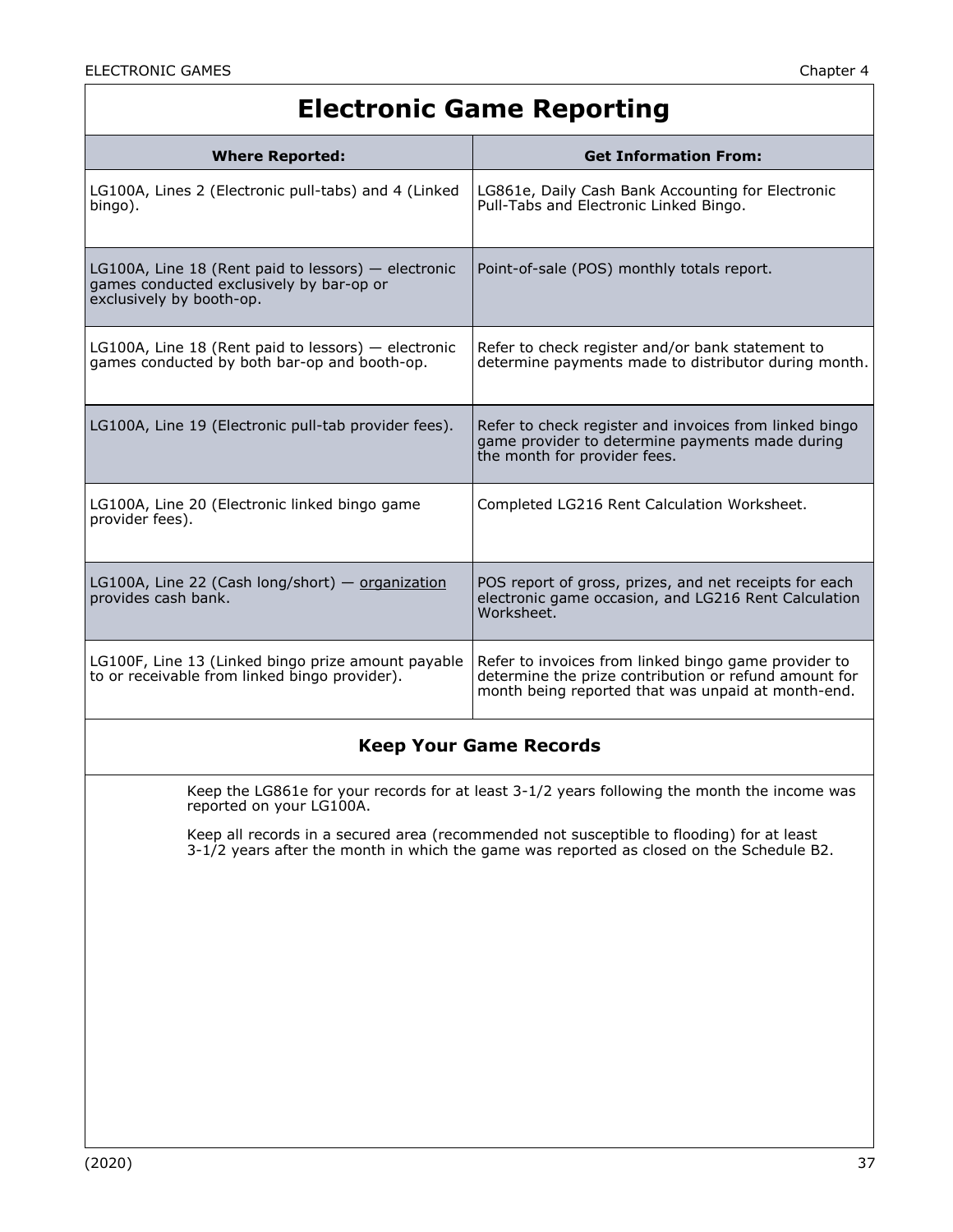## **Electronic Game Reporting**

| <b>Where Reported:</b>                                                                                                        | <b>Get Information From:</b>                                                                                                                                        |  |
|-------------------------------------------------------------------------------------------------------------------------------|---------------------------------------------------------------------------------------------------------------------------------------------------------------------|--|
| LG100A, Lines 2 (Electronic pull-tabs) and 4 (Linked<br>bingo).                                                               | LG861e, Daily Cash Bank Accounting for Electronic<br>Pull-Tabs and Electronic Linked Bingo.                                                                         |  |
| LG100A, Line 18 (Rent paid to lessors) $-$ electronic<br>games conducted exclusively by bar-op or<br>exclusively by booth-op. | Point-of-sale (POS) monthly totals report.                                                                                                                          |  |
| LG100A, Line 18 (Rent paid to lessors) $-$ electronic<br>games conducted by both bar-op and booth-op.                         | Refer to check register and/or bank statement to<br>determine payments made to distributor during month.                                                            |  |
| LG100A, Line 19 (Electronic pull-tab provider fees).                                                                          | Refer to check register and invoices from linked bingo<br>game provider to determine payments made during<br>the month for provider fees.                           |  |
| LG100A, Line 20 (Electronic linked bingo game<br>provider fees).                                                              | Completed LG216 Rent Calculation Worksheet.                                                                                                                         |  |
| LG100A, Line 22 (Cash long/short) $-$ organization<br>provides cash bank.                                                     | POS report of gross, prizes, and net receipts for each<br>electronic game occasion, and LG216 Rent Calculation<br>Worksheet.                                        |  |
| LG100F, Line 13 (Linked bingo prize amount payable<br>to or receivable from linked bingo provider).                           | Refer to invoices from linked bingo game provider to<br>determine the prize contribution or refund amount for<br>month being reported that was unpaid at month-end. |  |
| <b>Keep Your Game Records</b>                                                                                                 |                                                                                                                                                                     |  |

Keep the LG861e for your records for at least 3-1/2 years following the month the income was reported on your LG100A.

Keep all records in a secured area (recommended not susceptible to flooding) for at least 3-1/2 years after the month in which the game was reported as closed on the Schedule B2.